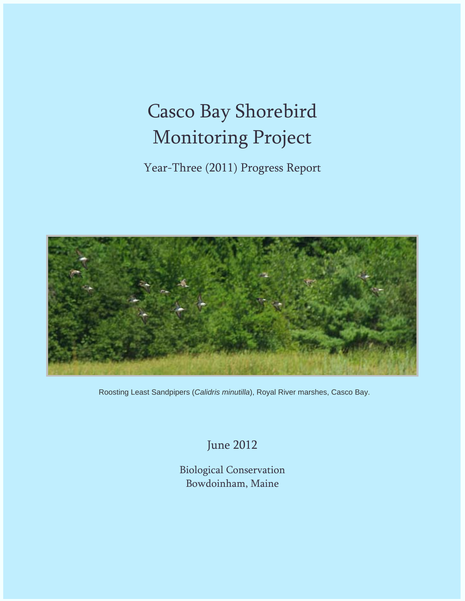# Casco Bay Shorebird Monitoring Project

Year-Three (2011) Progress Report



Roosting Least Sandpipers (*Calidris minutilla*), Royal River marshes, Casco Bay.

June 2012

Biological Conservation Bowdoinham, Maine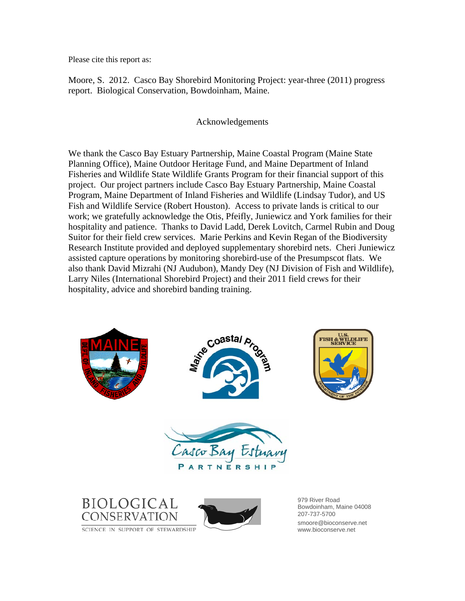Please cite this report as:

Moore, S. 2012. Casco Bay Shorebird Monitoring Project: year-three (2011) progress report. Biological Conservation, Bowdoinham, Maine.

# Acknowledgements

We thank the Casco Bay Estuary Partnership, Maine Coastal Program (Maine State Planning Office), Maine Outdoor Heritage Fund, and Maine Department of Inland Fisheries and Wildlife State Wildlife Grants Program for their financial support of this project. Our project partners include Casco Bay Estuary Partnership, Maine Coastal Program, Maine Department of Inland Fisheries and Wildlife (Lindsay Tudor), and US Fish and Wildlife Service (Robert Houston). Access to private lands is critical to our work; we gratefully acknowledge the Otis, Pfeifly, Juniewicz and York families for their hospitality and patience. Thanks to David Ladd, Derek Lovitch, Carmel Rubin and Doug Suitor for their field crew services. Marie Perkins and Kevin Regan of the Biodiversity Research Institute provided and deployed supplementary shorebird nets. Cheri Juniewicz assisted capture operations by monitoring shorebird-use of the Presumpscot flats. We also thank David Mizrahi (NJ Audubon), Mandy Dey (NJ Division of Fish and Wildlife), Larry Niles (International Shorebird Project) and their 2011 field crews for their hospitality, advice and shorebird banding training.

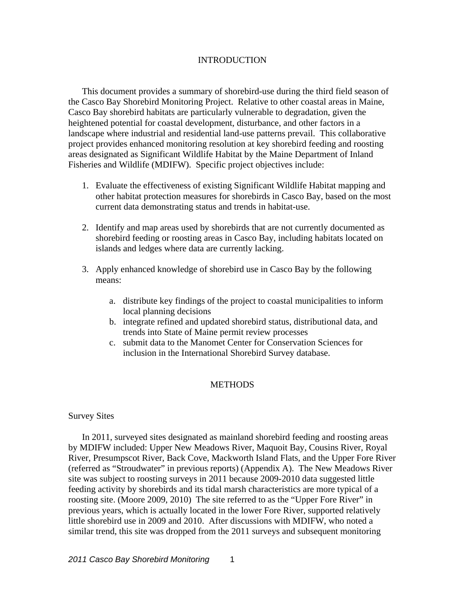## INTRODUCTION

This document provides a summary of shorebird-use during the third field season of the Casco Bay Shorebird Monitoring Project. Relative to other coastal areas in Maine, Casco Bay shorebird habitats are particularly vulnerable to degradation, given the heightened potential for coastal development, disturbance, and other factors in a landscape where industrial and residential land-use patterns prevail. This collaborative project provides enhanced monitoring resolution at key shorebird feeding and roosting areas designated as Significant Wildlife Habitat by the Maine Department of Inland Fisheries and Wildlife (MDIFW). Specific project objectives include:

- 1. Evaluate the effectiveness of existing Significant Wildlife Habitat mapping and other habitat protection measures for shorebirds in Casco Bay, based on the most current data demonstrating status and trends in habitat-use.
- 2. Identify and map areas used by shorebirds that are not currently documented as shorebird feeding or roosting areas in Casco Bay, including habitats located on islands and ledges where data are currently lacking.
- 3. Apply enhanced knowledge of shorebird use in Casco Bay by the following means:
	- a. distribute key findings of the project to coastal municipalities to inform local planning decisions
	- b. integrate refined and updated shorebird status, distributional data, and trends into State of Maine permit review processes
	- c. submit data to the Manomet Center for Conservation Sciences for inclusion in the International Shorebird Survey database.

## **METHODS**

#### Survey Sites

In 2011, surveyed sites designated as mainland shorebird feeding and roosting areas by MDIFW included: Upper New Meadows River, Maquoit Bay, Cousins River, Royal River, Presumpscot River, Back Cove, Mackworth Island Flats, and the Upper Fore River (referred as "Stroudwater" in previous reports) (Appendix A). The New Meadows River site was subject to roosting surveys in 2011 because 2009-2010 data suggested little feeding activity by shorebirds and its tidal marsh characteristics are more typical of a roosting site. (Moore 2009, 2010) The site referred to as the "Upper Fore River" in previous years, which is actually located in the lower Fore River, supported relatively little shorebird use in 2009 and 2010. After discussions with MDIFW, who noted a similar trend, this site was dropped from the 2011 surveys and subsequent monitoring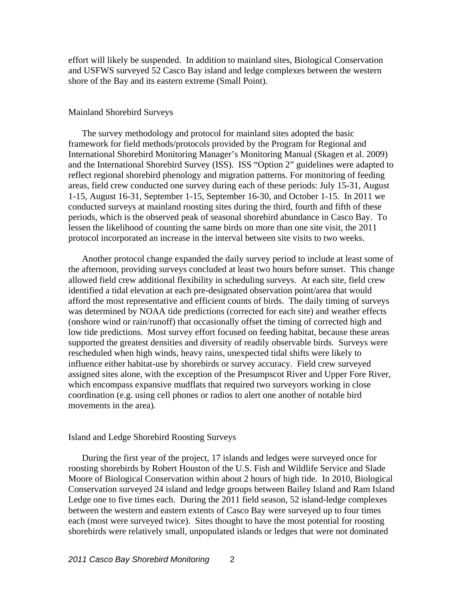effort will likely be suspended. In addition to mainland sites, Biological Conservation and USFWS surveyed 52 Casco Bay island and ledge complexes between the western shore of the Bay and its eastern extreme (Small Point).

## Mainland Shorebird Surveys

The survey methodology and protocol for mainland sites adopted the basic framework for field methods/protocols provided by the Program for Regional and International Shorebird Monitoring Manager's Monitoring Manual (Skagen et al. 2009) and the International Shorebird Survey (ISS). ISS "Option 2" guidelines were adapted to reflect regional shorebird phenology and migration patterns. For monitoring of feeding areas, field crew conducted one survey during each of these periods: July 15-31, August 1-15, August 16-31, September 1-15, September 16-30, and October 1-15. In 2011 we conducted surveys at mainland roosting sites during the third, fourth and fifth of these periods, which is the observed peak of seasonal shorebird abundance in Casco Bay. To lessen the likelihood of counting the same birds on more than one site visit, the 2011 protocol incorporated an increase in the interval between site visits to two weeks.

Another protocol change expanded the daily survey period to include at least some of the afternoon, providing surveys concluded at least two hours before sunset. This change allowed field crew additional flexibility in scheduling surveys. At each site, field crew identified a tidal elevation at each pre-designated observation point/area that would afford the most representative and efficient counts of birds. The daily timing of surveys was determined by NOAA tide predictions (corrected for each site) and weather effects (onshore wind or rain/runoff) that occasionally offset the timing of corrected high and low tide predictions. Most survey effort focused on feeding habitat, because these areas supported the greatest densities and diversity of readily observable birds. Surveys were rescheduled when high winds, heavy rains, unexpected tidal shifts were likely to influence either habitat-use by shorebirds or survey accuracy. Field crew surveyed assigned sites alone, with the exception of the Presumpscot River and Upper Fore River, which encompass expansive mudflats that required two surveyors working in close coordination (e.g. using cell phones or radios to alert one another of notable bird movements in the area).

#### Island and Ledge Shorebird Roosting Surveys

During the first year of the project, 17 islands and ledges were surveyed once for roosting shorebirds by Robert Houston of the U.S. Fish and Wildlife Service and Slade Moore of Biological Conservation within about 2 hours of high tide. In 2010, Biological Conservation surveyed 24 island and ledge groups between Bailey Island and Ram Island Ledge one to five times each. During the 2011 field season, 52 island-ledge complexes between the western and eastern extents of Casco Bay were surveyed up to four times each (most were surveyed twice). Sites thought to have the most potential for roosting shorebirds were relatively small, unpopulated islands or ledges that were not dominated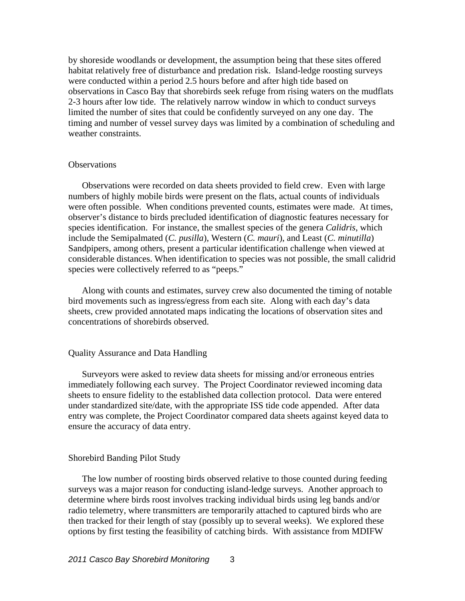by shoreside woodlands or development, the assumption being that these sites offered habitat relatively free of disturbance and predation risk. Island-ledge roosting surveys were conducted within a period 2.5 hours before and after high tide based on observations in Casco Bay that shorebirds seek refuge from rising waters on the mudflats 2-3 hours after low tide. The relatively narrow window in which to conduct surveys limited the number of sites that could be confidently surveyed on any one day. The timing and number of vessel survey days was limited by a combination of scheduling and weather constraints.

#### **Observations**

Observations were recorded on data sheets provided to field crew. Even with large numbers of highly mobile birds were present on the flats, actual counts of individuals were often possible. When conditions prevented counts, estimates were made. At times, observer's distance to birds precluded identification of diagnostic features necessary for species identification. For instance, the smallest species of the genera *Calidris*, which include the Semipalmated (*C. pusilla*), Western (*C. mauri*), and Least (*C. minutilla*) Sandpipers, among others, present a particular identification challenge when viewed at considerable distances. When identification to species was not possible, the small calidrid species were collectively referred to as "peeps."

Along with counts and estimates, survey crew also documented the timing of notable bird movements such as ingress/egress from each site. Along with each day's data sheets, crew provided annotated maps indicating the locations of observation sites and concentrations of shorebirds observed.

#### Quality Assurance and Data Handling

Surveyors were asked to review data sheets for missing and/or erroneous entries immediately following each survey. The Project Coordinator reviewed incoming data sheets to ensure fidelity to the established data collection protocol. Data were entered under standardized site/date, with the appropriate ISS tide code appended. After data entry was complete, the Project Coordinator compared data sheets against keyed data to ensure the accuracy of data entry.

#### Shorebird Banding Pilot Study

The low number of roosting birds observed relative to those counted during feeding surveys was a major reason for conducting island-ledge surveys. Another approach to determine where birds roost involves tracking individual birds using leg bands and/or radio telemetry, where transmitters are temporarily attached to captured birds who are then tracked for their length of stay (possibly up to several weeks). We explored these options by first testing the feasibility of catching birds. With assistance from MDIFW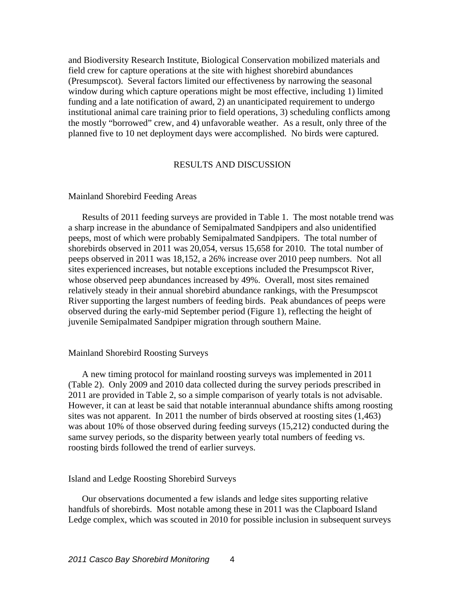and Biodiversity Research Institute, Biological Conservation mobilized materials and field crew for capture operations at the site with highest shorebird abundances (Presumpscot). Several factors limited our effectiveness by narrowing the seasonal window during which capture operations might be most effective, including 1) limited funding and a late notification of award, 2) an unanticipated requirement to undergo institutional animal care training prior to field operations, 3) scheduling conflicts among the mostly "borrowed" crew, and 4) unfavorable weather. As a result, only three of the planned five to 10 net deployment days were accomplished. No birds were captured.

## RESULTS AND DISCUSSION

# Mainland Shorebird Feeding Areas

Results of 2011 feeding surveys are provided in Table 1. The most notable trend was a sharp increase in the abundance of Semipalmated Sandpipers and also unidentified peeps, most of which were probably Semipalmated Sandpipers. The total number of shorebirds observed in 2011 was 20,054, versus 15,658 for 2010. The total number of peeps observed in 2011 was 18,152, a 26% increase over 2010 peep numbers. Not all sites experienced increases, but notable exceptions included the Presumpscot River, whose observed peep abundances increased by 49%. Overall, most sites remained relatively steady in their annual shorebird abundance rankings, with the Presumpscot River supporting the largest numbers of feeding birds. Peak abundances of peeps were observed during the early-mid September period (Figure 1), reflecting the height of juvenile Semipalmated Sandpiper migration through southern Maine.

#### Mainland Shorebird Roosting Surveys

A new timing protocol for mainland roosting surveys was implemented in 2011 (Table 2). Only 2009 and 2010 data collected during the survey periods prescribed in 2011 are provided in Table 2, so a simple comparison of yearly totals is not advisable. However, it can at least be said that notable interannual abundance shifts among roosting sites was not apparent. In 2011 the number of birds observed at roosting sites (1,463) was about 10% of those observed during feeding surveys (15,212) conducted during the same survey periods, so the disparity between yearly total numbers of feeding vs. roosting birds followed the trend of earlier surveys.

#### Island and Ledge Roosting Shorebird Surveys

Our observations documented a few islands and ledge sites supporting relative handfuls of shorebirds. Most notable among these in 2011 was the Clapboard Island Ledge complex, which was scouted in 2010 for possible inclusion in subsequent surveys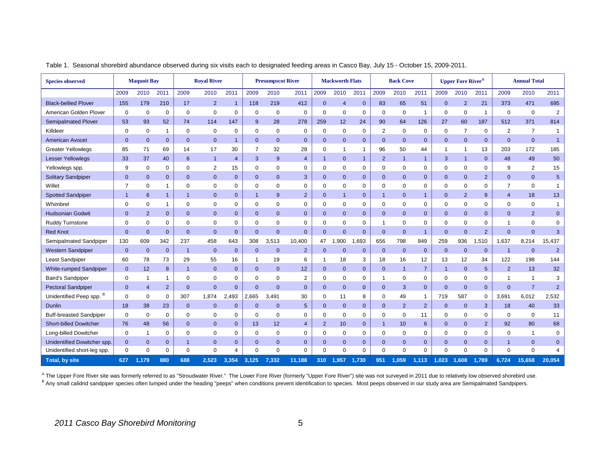| <b>Species observed</b>             | <b>Maquoit Bay</b> |                |              |              | <b>Royal River</b> |                        |                | <b>Presumpscot River</b> |                |                | <b>Mackworth Flats</b> |                |                | <b>Back Cove</b> |                |                | <b>Upper Fore River<sup>4</sup></b> |                |                | <b>Annual Total</b> |                |
|-------------------------------------|--------------------|----------------|--------------|--------------|--------------------|------------------------|----------------|--------------------------|----------------|----------------|------------------------|----------------|----------------|------------------|----------------|----------------|-------------------------------------|----------------|----------------|---------------------|----------------|
|                                     | 2009               | 2010           | 2011         | 2009         | 2010               | 2011                   | 2009           | 2010                     | 2011           | 2009           | 2010                   | 2011           | 2009           | 2010             | 2011           | 2009           | 2010                                | 2011           | 2009           | 2010                | 2011           |
| <b>Black-bellied Plover</b>         | 155                | 179            | 210          | 17           | $\overline{2}$     | $\overline{1}$         | 118            | 219                      | 412            | $\mathbf 0$    | $\overline{4}$         | $\mathbf 0$    | 83             | 65               | 51             | $\mathbf 0$    | $\overline{2}$                      | 21             | 373            | 471                 | 695            |
| American Golden Plover              | $\mathbf 0$        | $\mathbf 0$    | $\mathbf 0$  | $\Omega$     | $\mathbf 0$        | $\mathbf 0$            | $\mathbf 0$    | $\mathbf 0$              | $\mathbf 0$    | $\mathbf 0$    | $\mathbf 0$            | $\mathbf 0$    | $\mathbf 0$    | $\mathbf 0$      | -1             | $\mathbf 0$    | $\mathbf 0$                         | $\mathbf{1}$   | $\mathbf 0$    | $\mathbf 0$         | 2              |
| <b>Semipalmated Plover</b>          | 53                 | 93             | 52           | 74           | 114                | 147                    | 9              | 28                       | 278            | 259            | 12                     | 24             | 90             | 64               | 126            | 27             | 60                                  | 187            | 512            | 371                 | 814            |
| Killdeer                            | $\mathbf 0$        | $\mathbf 0$    | $\mathbf{1}$ | $\mathbf 0$  | $\mathbf 0$        | 0                      | $\mathbf 0$    | $\mathbf 0$              | $\mathbf 0$    | $\mathbf 0$    | $\mathbf 0$            | $\mathbf 0$    | $\overline{2}$ | $\mathbf 0$      | $\mathbf 0$    | $\mathbf 0$    | $\overline{7}$                      | $\mathbf 0$    | $\overline{2}$ | $\overline{7}$      | $\mathbf{1}$   |
| <b>American Avocet</b>              | $\mathbf 0$        | $\mathbf{0}$   | $\mathbf{0}$ | $\mathbf{0}$ | $\overline{0}$     | $\overline{1}$         | $\mathbf 0$    | $\mathbf 0$              | $\mathbf 0$    | $\mathbf 0$    | $\mathbf{0}$           | $\mathbf 0$    | $\Omega$       | $\mathbf{0}$     | $\mathbf 0$    | $\mathbf 0$    | $\mathbf 0$                         | $\mathbf{0}$   | $\Omega$       | $\mathbf{0}$        | $\overline{1}$ |
| <b>Greater Yellowlegs</b>           | 85                 | 71             | 69           | 14           | 17                 | 30                     | 7              | 32                       | 28             | 0              | -1                     | $\mathbf{1}$   | 96             | 50               | 44             | 1              | $\mathbf{1}$                        | 13             | 203            | 172                 | 185            |
| <b>Lesser Yellowlegs</b>            | 33                 | 37             | 40           | 6            | $\overline{1}$     | $\overline{4}$         | 3              | 9                        | $\overline{4}$ | $\overline{1}$ | $\mathbf{0}$           | $\mathbf{1}$   | $\overline{2}$ | $\overline{1}$   | $\mathbf{1}$   | 3              | $\mathbf{1}$                        | $\mathbf{0}$   | 48             | 49                  | 50             |
| Yellowlegs spp.                     | 9                  | 0              | $\mathbf 0$  | 0            | $\overline{2}$     | 15                     | $\mathbf 0$    | $\mathbf 0$              | $\mathbf 0$    | 0              | 0                      | 0              | $\mathbf 0$    | 0                | $\mathbf 0$    | 0              | 0                                   | 0              | 9              | 2                   | 15             |
| <b>Solitary Sandpiper</b>           | $\mathbf 0$        | $\mathbf{0}$   | $\mathbf{0}$ | $\mathbf{0}$ | $\mathbf{0}$       | $\mathbf 0$            | $\mathbf 0$    | $\mathbf{0}$             | 3              | $\mathbf{0}$   | $\mathbf{0}$           | $\mathbf{0}$   | $\mathbf{0}$   | $\mathbf{0}$     | $\mathbf 0$    | $\mathbf 0$    | $\mathbf{0}$                        | 2 <sup>2</sup> | $\mathbf 0$    | $\mathbf{0}$        | $\sqrt{5}$     |
| Willet                              | 7                  | $\mathbf 0$    |              | $\Omega$     | $\mathbf 0$        | 0                      | $\mathbf 0$    | $\mathbf 0$              | $\mathbf 0$    | 0              | $\mathbf 0$            | 0              | $\Omega$       | $\mathbf 0$      | $\Omega$       | $\Omega$       | $\mathbf 0$                         | 0              | $\overline{7}$ | $\mathbf 0$         | $\mathbf{1}$   |
| <b>Spotted Sandpiper</b>            |                    | 6              | $\mathbf{1}$ |              | $\mathbf{0}$       | $\mathbf 0$            | $\overline{1}$ | 9                        | $\overline{2}$ | $\mathbf 0$    | $\overline{1}$         | $\pmb{0}$      |                | $\mathbf{0}$     | $\overline{1}$ | $\Omega$       | $\overline{2}$                      | 9              | $\overline{4}$ | 18                  | 13             |
| Whimbrel                            | 0                  | 0              | $\mathbf{1}$ | 0            | $\mathbf 0$        | $\mathbf 0$            | $\mathbf 0$    | $\mathbf 0$              | 0              | 0              | $\mathbf 0$            | $\Omega$       | 0              | $\mathbf 0$      | 0              | $\Omega$       | $\mathbf 0$                         | $\mathbf 0$    | $\mathbf 0$    | $\mathbf 0$         | $\mathbf{1}$   |
| <b>Hudsonian Godwit</b>             | $\mathbf{0}$       | $\overline{2}$ | $\mathbf{0}$ | $\mathbf{0}$ | $\overline{0}$     | $\mathbf 0$            | $\mathbf 0$    | $\mathbf{0}$             | $\mathbf 0$    | $\mathbf{0}$   | $\mathbf 0$            | $\overline{0}$ | $\Omega$       | $\mathbf 0$      | $\mathbf 0$    | $\mathbf 0$    | $\mathbf{0}$                        | $\mathbf 0$    | $\overline{0}$ | $\overline{2}$      | $\mathbf 0$    |
| Ruddy Turnstone                     | $\mathbf 0$        | $\mathbf 0$    | $\mathbf 0$  | 0            | $\mathbf 0$        | $\mathbf 0$            | $\mathbf 0$    | $\mathbf 0$              | $\mathbf 0$    | 0              | $\mathbf{0}$           | 0              | ٠              | $\mathbf 0$      | $\mathbf 0$    | $\mathbf 0$    | 0                                   | 0              |                | $\mathbf 0$         | $\mathbf 0$    |
| <b>Red Knot</b>                     | $\mathbf{0}$       | $\overline{0}$ | $\mathbf 0$  | $\mathbf{0}$ | $\overline{0}$     | $\mathbf{0}$           | $\overline{0}$ | $\overline{0}$           | $\mathbf{0}$   | $\overline{0}$ | $\mathbf{0}$           | $\mathbf{0}$   | $\mathbf{0}$   | $\mathbf{0}$     | $\mathbf{1}$   | $\mathbf{0}$   | $\mathbf{0}$                        | 2              | $\overline{0}$ | $\mathbf{0}$        | $\mathbf{3}$   |
| Semipalmated Sandpiper              | 130                | 609            | 342          | 237          | 458                | 643                    | 308            | 3,513                    | 10,400         | 47             | 1,900                  | 1,693          | 656            | 798              | 849            | 259            | 936                                 | 1,510          | 1,637          | 8,214               | 15,437         |
| <b>Western Sandpiper</b>            | $\mathbf{0}$       | $\mathbf{0}$   | $\mathbf{0}$ |              | $\overline{0}$     | $\mathbf{0}$           | $\mathbf{0}$   | $\mathbf{0}$             | $\overline{2}$ | $\mathbf{0}$   | $\Omega$               | $\mathbf{0}$   | $\mathbf{0}$   | $\overline{0}$   | $\mathbf 0$    | $\mathbf{0}$   | $\mathbf{0}$                        | $\mathbf{0}$   | $\overline{1}$ | $\mathbf{0}$        | $\overline{2}$ |
| Least Sandpiper                     | 60                 | 78             | 73           | 29           | 55                 | 16                     | -1             | 19                       | 6              | -1             | 18                     | 3              | 18             | 16               | 12             | 13             | 12                                  | 34             | 122            | 198                 | 144            |
| <b>White-rumped Sandpiper</b>       | $\mathbf{0}$       | 12             | 8            |              | $\mathbf{0}$       | $\mathbf{0}$           | $\mathbf 0$    | $\mathbf 0$              | 12             | $\mathbf{0}$   | $\mathbf{0}$           | $\mathbf 0$    | $\Omega$       | $\overline{1}$   | $\overline{7}$ | $\overline{1}$ | $\mathbf{0}$                        | $\sqrt{5}$     | $\overline{2}$ | 13                  | 32             |
| <b>Baird's Sandpiper</b>            | 0                  | 1              | 1            | $\Omega$     | $\mathbf 0$        | 0                      | $\mathbf 0$    | $\mathbf 0$              | 2              | 0              | $\mathbf 0$            | 0              | 1              | 0                | 0              | $\mathbf 0$    | 0                                   | 0              | -1             | $\mathbf{1}$        | 3              |
| <b>Pectoral Sandpiper</b>           | $\Omega$           | $\overline{4}$ | 2            | $\mathbf{0}$ | $\overline{0}$     | $\mathbf{0}$           | $\overline{0}$ | $\Omega$                 | $\mathbf{0}$   | $\overline{0}$ | $\overline{0}$         | $\mathbf{0}$   | $\mathbf{0}$   | 3                | $\mathbf{0}$   | $\mathbf{0}$   | $\mathbf{0}$                        | $\mathbf{0}$   | $\overline{0}$ | $\overline{7}$      | $\overline{2}$ |
| Unidentified Peep spp. <sup>B</sup> | 0                  | $\mathbf 0$    | $\mathbf 0$  | 307          | 1,874              | .493<br>$\overline{2}$ | 2,665          | 3,491                    | 30             | 0              | 11                     | 8              | $\Omega$       | 49               | 1              | 719            | 587                                 | 0              | 3,691          | 6,012               | 2,532          |
| <b>Dunlin</b>                       | 18                 | 38             | 23           | $\mathbf{0}$ | $\mathbf{0}$       | $\mathbf{0}$           | $\mathbf 0$    | $\mathbf 0$              | $\overline{5}$ | $\mathbf{0}$   | $\mathbf{0}$           | $\mathbf{0}$   | $\mathbf{0}$   | 2                | $\overline{2}$ | $\mathbf 0$    | $\mathbf{0}$                        | 3              | 18             | 40                  | 33             |
| <b>Buff-breasted Sandpiper</b>      | $\mathbf 0$        | $\mathbf 0$    | $\mathbf 0$  | $\Omega$     | $\mathbf 0$        | 0                      | $\mathbf 0$    | $\mathbf 0$              | $\mathbf 0$    | $\mathbf 0$    | $\mathbf 0$            | 0              | $\Omega$       | 0                | 11             | $\Omega$       | 0                                   | 0              | $\mathbf 0$    | $\mathbf 0$         | 11             |
| <b>Short-billed Dowitcher</b>       | 76                 | 48             | 56           | $\mathbf{0}$ | $\mathbf{0}$       | $\mathbf{0}$           | 13             | 12                       | $\overline{4}$ | $\overline{2}$ | 10                     | $\mathbf 0$    |                | 10               | $6\phantom{1}$ | $\Omega$       | $\mathbf{0}$                        | $\overline{2}$ | 92             | 80                  | 68             |
| Long-billed Dowitcher               | $\mathbf 0$        | $\mathbf 1$    | $\mathbf 0$  | $\Omega$     | $\mathbf 0$        | $\mathbf 0$            | $\mathbf 0$    | $\mathbf 0$              | $\mathbf 0$    | 0              | $\mathbf 0$            | 0              | $\Omega$       | $\mathbf 0$      | $\mathbf 0$    | $\mathbf 0$    | $\mathbf 0$                         | $\mathbf 0$    | $\mathbf 0$    | $\mathbf{1}$        | $\mathbf 0$    |
| Unidentified Dowitcher spp.         | $\mathbf 0$        | $\mathbf{0}$   | $\mathbf 0$  | 1            | $\mathbf 0$        | $\mathbf{0}$           | $\mathbf{0}$   | $\mathbf 0$              | $\mathbf{0}$   | $\overline{0}$ | $\mathbf 0$            | $\mathbf{0}$   | $\mathbf{0}$   | $\mathbf{0}$     | $\mathbf 0$    | $\mathbf{0}$   | $\mathbf{0}$                        | $\mathbf{0}$   | $\overline{1}$ | $\mathbf{0}$        | $\mathbf{0}$   |
| Unidentified short-leg spp.         | $\mathbf 0$        | $\Omega$       | $\mathbf 0$  | $\Omega$     | $\mathbf 0$        | 4                      | $\mathbf 0$    | $\Omega$                 | $\mathbf 0$    | $\Omega$       | $\Omega$               | $\mathbf 0$    | $\mathbf 0$    | $\Omega$         | $\mathbf 0$    | $\Omega$       | $\mathbf 0$                         | $\mathbf 0$    | $\mathbf 0$    | $\mathbf 0$         |                |
| Total, by site                      | 627                | 1,179          | 880          | 688          | 2,523              | 3,354                  | 3,125          | 7,332                    | 11,188         | 310            | 1,957                  | 1,730          | 951            | ,059             | 1,113          | .023           | 1,608                               | 1,789          | 6,724          | 15,658              | 20,054         |

Table 1. Seasonal shorebird abundance observed during six visits each to designated feeding areas in Casco Bay, July 15 - October 15, 2009-2011.

<sup>A</sup> The Upper Fore River site was formerly referred to as "Stroudwater River." The Lower Fore River (formerly "Upper Fore River") site was not surveyed in 2011 due to relatively low observed shorebird use. B Any small calidrid sandpiper species often lumped under the heading "peeps" when conditions prevent identification to species. Most peeps observed in our study area are Semipalmated Sandpipers.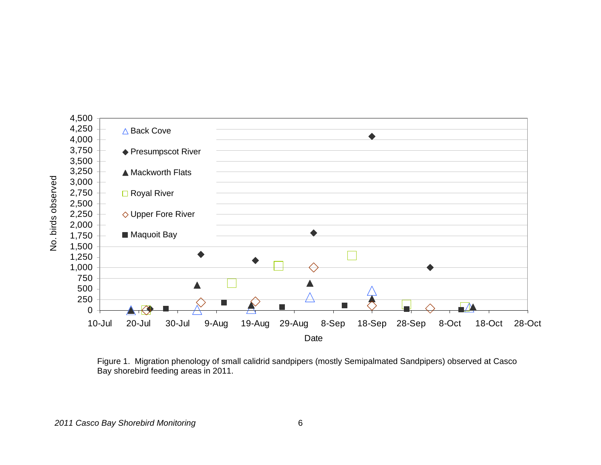

Figure 1. Migration phenology of small calidrid sandpipers (mostly Semipalmated Sandpipers) observed at Casco Bay shorebird feeding areas in 2011.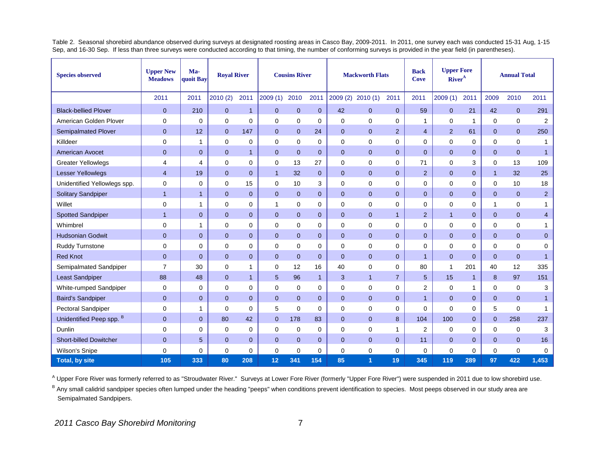Table 2. Seasonal shorebird abundance observed during surveys at designated roosting areas in Casco Bay, 2009-2011. In 2011, one survey each was conducted 15-31 Aug, 1-15 Sep, and 16-30 Sep. If less than three surveys were conducted according to that timing, the number of conforming surveys is provided in the year field (in parentheses).

| <b>Species observed</b>       | <b>Upper New</b><br><b>Meadows</b> | Ma-<br>quoit Bay | <b>Royal River</b> |                |                | <b>Cousins River</b> |                | <b>Mackworth Flats</b> |                   |                | <b>Back</b><br><b>Cove</b> | <b>Upper Fore</b><br>River <sup>A</sup> |                |                | <b>Annual Total</b> |                |
|-------------------------------|------------------------------------|------------------|--------------------|----------------|----------------|----------------------|----------------|------------------------|-------------------|----------------|----------------------------|-----------------------------------------|----------------|----------------|---------------------|----------------|
|                               | 2011                               | 2011             | 2010(2)            | 2011           | 2009(1)        | 2010                 | 2011           |                        | 2009 (2) 2010 (1) | 2011           | 2011                       | 2009(1)                                 | 2011           | 2009           | 2010                | 2011           |
| <b>Black-bellied Plover</b>   | $\mathbf 0$                        | 210              | $\mathbf{0}$       | $\overline{1}$ | $\mathbf 0$    | $\mathbf{0}$         | $\mathbf 0$    | 42                     | $\mathbf{0}$      | $\mathbf{0}$   | 59                         | $\mathbf 0$                             | 21             | 42             | $\mathbf{0}$        | 291            |
| American Golden Plover        | 0                                  | 0                | $\mathbf 0$        | $\mathbf 0$    | $\mathbf 0$    | $\mathbf 0$          | 0              | 0                      | $\mathbf 0$       | 0              | $\mathbf{1}$               | 0                                       | 1              | 0              | $\mathbf 0$         | 2              |
| <b>Semipalmated Plover</b>    | $\overline{0}$                     | 12               | $\overline{0}$     | 147            | $\Omega$       | $\mathbf{0}$         | 24             | $\overline{0}$         | $\mathbf{0}$      | $\overline{2}$ | $\overline{4}$             | $\overline{2}$                          | 61             | $\overline{0}$ | $\Omega$            | 250            |
| Killdeer                      | $\Omega$                           | 1                | $\mathbf 0$        | $\mathbf 0$    | $\mathbf 0$    | $\mathbf 0$          | 0              | 0                      | $\mathbf 0$       | $\Omega$       | $\Omega$                   | $\Omega$                                | $\mathbf 0$    | 0              | $\Omega$            | $\mathbf{1}$   |
| <b>American Avocet</b>        | $\mathbf{0}$                       | $\mathbf{0}$     | $\overline{0}$     | $\overline{1}$ | $\Omega$       | $\mathbf{0}$         | $\mathbf{0}$   | $\overline{0}$         | $\Omega$          | $\Omega$       | $\Omega$                   | $\Omega$                                | $\overline{0}$ | $\overline{0}$ | $\Omega$            | $\mathbf{1}$   |
| <b>Greater Yellowlegs</b>     | 4                                  | 4                | 0                  | 0              | 0              | 13                   | 27             | 0                      | $\mathbf 0$       | $\Omega$       | 71                         | 0                                       | 3              | 0              | 13                  | 109            |
| Lesser Yellowlegs             | $\overline{4}$                     | 19               | $\overline{0}$     | $\mathbf{0}$   | $\overline{1}$ | 32                   | $\mathbf{0}$   | $\overline{0}$         | $\mathbf{0}$      | $\mathbf{0}$   | 2                          | $\overline{0}$                          | $\mathbf{0}$   | $\mathbf{1}$   | 32                  | 25             |
| Unidentified Yellowlegs spp.  | 0                                  | 0                | $\mathbf 0$        | 15             | $\Omega$       | 10                   | 3              | $\Omega$               | $\mathbf 0$       | $\mathbf 0$    | $\mathbf 0$                | $\Omega$                                | $\mathbf 0$    | 0              | 10                  | 18             |
| <b>Solitary Sandpiper</b>     | $\mathbf{1}$                       | $\mathbf{1}$     | $\overline{0}$     | $\overline{0}$ | $\Omega$       | $\overline{0}$       | $\overline{0}$ | $\Omega$               | $\Omega$          | $\Omega$       | $\Omega$                   | $\Omega$                                | $\overline{0}$ | $\mathbf{0}$   | $\Omega$            | $\overline{2}$ |
| Willet                        | 0                                  | $\mathbf{1}$     | $\mathbf 0$        | $\mathbf 0$    | $\mathbf{1}$   | $\mathbf 0$          | 0              | $\mathbf 0$            | $\mathbf 0$       | 0              | $\mathbf 0$                | 0                                       | $\mathbf 0$    | $\mathbf{1}$   | 0                   | 1              |
| <b>Spotted Sandpiper</b>      | $\mathbf{1}$                       | $\mathbf 0$      | $\mathbf{0}$       | $\mathbf{0}$   | $\Omega$       | $\mathbf{0}$         | $\mathbf{0}$   | $\mathbf 0$            | $\mathbf{0}$      | $\mathbf{1}$   | 2                          | $\mathbf{1}$                            | $\mathbf{0}$   | $\mathbf{0}$   | $\mathbf 0$         | $\overline{4}$ |
| Whimbrel                      | 0                                  | $\mathbf{1}$     | 0                  | 0              | 0              | $\mathbf 0$          | 0              | 0                      | 0                 | 0              | 0                          | 0                                       | 0              | 0              | 0                   | $\mathbf{1}$   |
| <b>Hudsonian Godwit</b>       | $\mathbf{0}$                       | $\overline{0}$   | $\overline{0}$     | $\overline{0}$ | $\overline{0}$ | $\overline{0}$       | $\mathbf{0}$   | $\overline{0}$         | $\overline{0}$    | $\overline{0}$ | $\mathbf{0}$               | $\overline{0}$                          | $\overline{0}$ | $\overline{0}$ | $\mathbf{0}$        | $\overline{0}$ |
| Ruddy Turnstone               | $\Omega$                           | 0                | $\mathbf 0$        | $\mathbf 0$    | $\Omega$       | $\Omega$             | 0              | $\Omega$               | $\Omega$          | $\Omega$       | $\Omega$                   | $\Omega$                                | $\Omega$       | 0              | $\Omega$            | $\mathbf 0$    |
| <b>Red Knot</b>               | $\overline{0}$                     | $\overline{0}$   | $\overline{0}$     | $\overline{0}$ | $\Omega$       | $\overline{0}$       | $\overline{0}$ | $\Omega$               | $\overline{0}$    | $\overline{0}$ | $\overline{1}$             | $\Omega$                                | $\overline{0}$ | $\overline{0}$ | $\Omega$            | $\mathbf{1}$   |
| Semipalmated Sandpiper        | $\overline{7}$                     | 30               | $\mathbf 0$        | $\mathbf{1}$   | $\mathbf 0$    | 12                   | 16             | 40                     | $\mathbf 0$       | $\mathbf 0$    | 80                         | $\mathbf{1}$                            | 201            | 40             | 12                  | 335            |
| <b>Least Sandpiper</b>        | 88                                 | 48               | $\mathbf{0}$       | $\overline{1}$ | 5              | 96                   | $\mathbf{1}$   | 3                      | $\overline{1}$    | $\overline{7}$ | $\overline{5}$             | 15                                      | $\mathbf{1}$   | 8              | 97                  | 151            |
| White-rumped Sandpiper        | 0                                  | 0                | 0                  | $\mathbf 0$    | $\mathbf 0$    | 0                    | 0              | 0                      | $\mathbf 0$       | 0              | 2                          | 0                                       | $\mathbf{1}$   | 0              | $\mathbf 0$         | 3              |
| <b>Baird's Sandpiper</b>      | $\overline{0}$                     | $\mathbf{0}$     | $\mathbf{0}$       | $\mathbf{0}$   | $\Omega$       | $\overline{0}$       | $\overline{0}$ | $\overline{0}$         | $\overline{0}$    | $\overline{0}$ | $\overline{1}$             | $\Omega$                                | $\overline{0}$ | $\overline{0}$ | $\mathbf{0}$        | $\mathbf{1}$   |
| Pectoral Sandpiper            | 0                                  | $\mathbf{1}$     | $\mathbf 0$        | $\mathbf 0$    | 5              | $\mathbf 0$          | 0              | 0                      | $\mathbf 0$       | 0              | $\Omega$                   | 0                                       | 0              | 5              | $\mathbf 0$         | $\mathbf{1}$   |
| Unidentified Peep spp. B      | $\mathbf 0$                        | $\mathbf{0}$     | 80                 | 42             | $\Omega$       | 178                  | 83             | $\overline{0}$         | $\mathbf{0}$      | 8              | 104                        | 100                                     | $\overline{0}$ | $\overline{0}$ | 258                 | 237            |
| Dunlin                        | 0                                  | 0                | 0                  | $\mathbf 0$    | $\mathbf 0$    | $\mathbf 0$          | 0              | $\mathbf 0$            | $\mathbf 0$       | 1              | 2                          | $\mathbf 0$                             | $\mathbf 0$    | 0              | $\mathbf 0$         | 3              |
| <b>Short-billed Dowitcher</b> | $\mathbf{0}$                       | 5                | $\mathbf{0}$       | $\mathbf{0}$   | $\overline{0}$ | $\mathbf{0}$         | $\mathbf{0}$   | $\mathbf 0$            | $\mathbf{0}$      | $\mathbf{0}$   | 11                         | $\mathbf{0}$                            | $\mathbf{0}$   | $\mathbf{0}$   | $\mathbf{0}$        | 16             |
| Wilson's Snipe                | 0                                  | 0                | $\mathbf 0$        | $\mathbf 0$    | 0              | 0                    | 0              | 0                      | $\mathbf 0$       | 0              | $\mathbf 0$                | 0                                       | 0              | 0              | $\mathbf 0$         | $\mathbf 0$    |
| <b>Total, by site</b>         | 105                                | 333              | 80                 | 208            | 12             | 341                  | 154            | 85                     | 1                 | 19             | 345                        | 119                                     | 289            | 97             | 422                 | 1,453          |

<sup>A</sup> Upper Fore River was formerly referred to as "Stroudwater River." Surveys at Lower Fore River (formerly "Upper Fore River") were suspended in 2011 due to low shorebird use.

B Any small calidrid sandpiper species often lumped under the heading "peeps" when conditions prevent identification to species. Most peeps observed in our study area are Semipalmated Sandpipers.

# *2011 Casco Bay Shorebird Monitoring* 7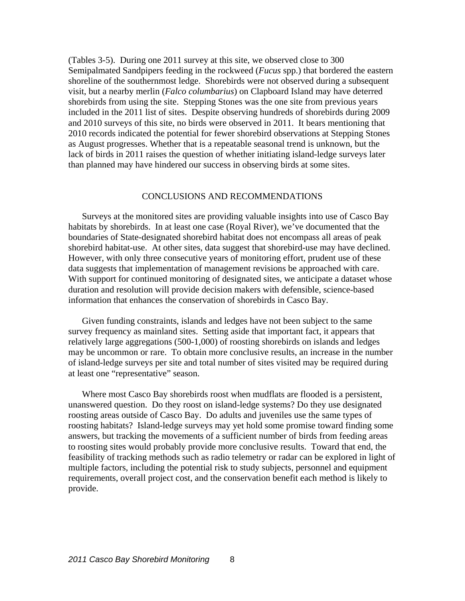(Tables 3-5). During one 2011 survey at this site, we observed close to 300 Semipalmated Sandpipers feeding in the rockweed (*Fucus* spp.) that bordered the eastern shoreline of the southernmost ledge. Shorebirds were not observed during a subsequent visit, but a nearby merlin (*Falco columbarius*) on Clapboard Island may have deterred shorebirds from using the site. Stepping Stones was the one site from previous years included in the 2011 list of sites. Despite observing hundreds of shorebirds during 2009 and 2010 surveys of this site, no birds were observed in 2011. It bears mentioning that 2010 records indicated the potential for fewer shorebird observations at Stepping Stones as August progresses. Whether that is a repeatable seasonal trend is unknown, but the lack of birds in 2011 raises the question of whether initiating island-ledge surveys later than planned may have hindered our success in observing birds at some sites.

## CONCLUSIONS AND RECOMMENDATIONS

Surveys at the monitored sites are providing valuable insights into use of Casco Bay habitats by shorebirds. In at least one case (Royal River), we've documented that the boundaries of State-designated shorebird habitat does not encompass all areas of peak shorebird habitat-use. At other sites, data suggest that shorebird-use may have declined. However, with only three consecutive years of monitoring effort, prudent use of these data suggests that implementation of management revisions be approached with care. With support for continued monitoring of designated sites, we anticipate a dataset whose duration and resolution will provide decision makers with defensible, science-based information that enhances the conservation of shorebirds in Casco Bay.

Given funding constraints, islands and ledges have not been subject to the same survey frequency as mainland sites. Setting aside that important fact, it appears that relatively large aggregations (500-1,000) of roosting shorebirds on islands and ledges may be uncommon or rare. To obtain more conclusive results, an increase in the number of island-ledge surveys per site and total number of sites visited may be required during at least one "representative" season.

Where most Casco Bay shorebirds roost when mudflats are flooded is a persistent, unanswered question. Do they roost on island-ledge systems? Do they use designated roosting areas outside of Casco Bay. Do adults and juveniles use the same types of roosting habitats? Island-ledge surveys may yet hold some promise toward finding some answers, but tracking the movements of a sufficient number of birds from feeding areas to roosting sites would probably provide more conclusive results. Toward that end, the feasibility of tracking methods such as radio telemetry or radar can be explored in light of multiple factors, including the potential risk to study subjects, personnel and equipment requirements, overall project cost, and the conservation benefit each method is likely to provide.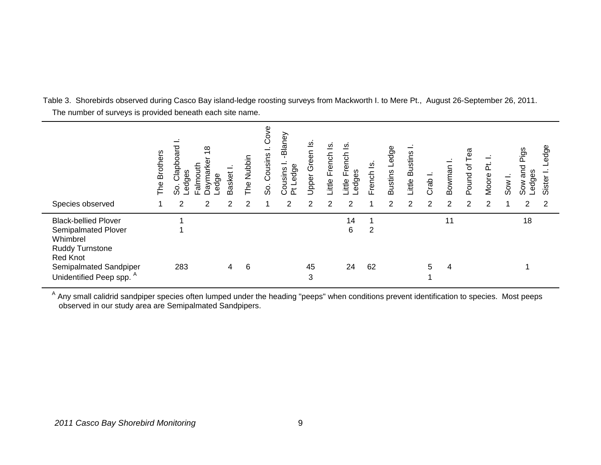Table 3. Shorebirds observed during Casco Bay island-ledge roosting surveys from Mackworth I. to Mere Pt., August 26-September 26, 2011. The number of surveys is provided beneath each site name.

| Species observed                                                                                                                                                             | <b>Brothers</b><br>The | ℧<br>Clapboaro<br>edges<br>So.<br>2 | $\infty$<br>$\overline{\phantom{0}}$<br>Jaymarke<br>Falmouth<br>Ledge<br>2 | Basket<br>$\overline{2}$ | The Nubbin<br>2 | Cove<br>Cousins<br>တိ | -Blaney<br>Pt Ledge<br>Cousins<br>$\overline{2}$ | <u>თ</u><br>Green I<br>Upper<br>2 | ∞<br>ittle French<br>2 | ⊻<br>French<br>-edges<br>ittle<br>2 | $\overline{\omega}$<br>French | Bustins Ledge<br>2 | <b>Little Bustins</b><br>$\mathcal{P}$ | Crab<br>2 | Bowman I<br>2 | ea<br>Pound of<br>$\overline{2}$ | Moore Pt.<br>2 | Sow I. | Pigs<br>and<br>Ledges<br>Sow<br>2 | Ledge<br>Sister<br>2 |
|------------------------------------------------------------------------------------------------------------------------------------------------------------------------------|------------------------|-------------------------------------|----------------------------------------------------------------------------|--------------------------|-----------------|-----------------------|--------------------------------------------------|-----------------------------------|------------------------|-------------------------------------|-------------------------------|--------------------|----------------------------------------|-----------|---------------|----------------------------------|----------------|--------|-----------------------------------|----------------------|
| <b>Black-bellied Plover</b><br>Semipalmated Plover<br>Whimbrel<br><b>Ruddy Turnstone</b><br><b>Red Knot</b><br>Semipalmated Sandpiper<br>Unidentified Peep spp. <sup>A</sup> |                        | 283                                 |                                                                            | 4                        | 6               |                       |                                                  | 45<br>3                           |                        | 14<br>6<br>24                       | 2<br>62                       |                    |                                        | 5         | 11<br>4       |                                  |                |        | 18                                |                      |

<sup>A</sup> Any small calidrid sandpiper species often lumped under the heading "peeps" when conditions prevent identification to species. Most peeps observed in our study area are Semipalmated Sandpipers.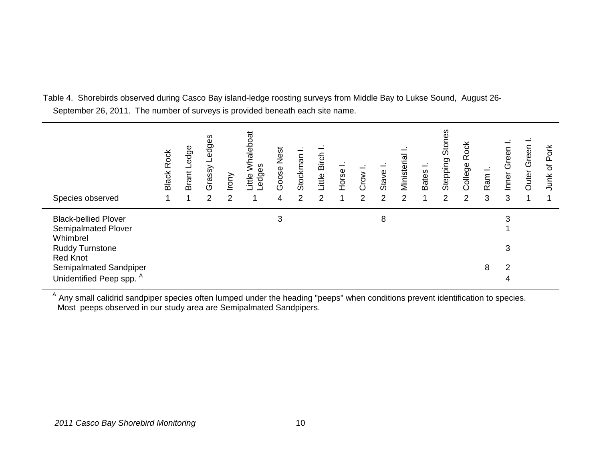Table 4. Shorebirds observed during Casco Bay island-ledge roosting surveys from Middle Bay to Lukse Sound, August 26- September 26, 2011. The number of surveys is provided beneath each site name.

| Species observed                                                      | <b>Black Rock</b> | edge<br>ᆜ<br>Brant I | edges<br>ᆜ<br>Grassy<br>$\overline{2}$ | rony<br>2 | Whaleboat<br>edges-<br>Little | Goose Nest<br>4 | Stockman<br>2 | Little Birch<br>2 | Horse | Crow I<br>2 | Stave<br>2 | Ministerial<br>2 | <b>Bates</b> | Stones<br>Stepping<br>2 | Rock<br>College<br>2 | Ram I.<br>3 | Green<br>nner<br>3 | Green<br>Outer | Pork<br>$\overline{\sigma}$<br>Junk |
|-----------------------------------------------------------------------|-------------------|----------------------|----------------------------------------|-----------|-------------------------------|-----------------|---------------|-------------------|-------|-------------|------------|------------------|--------------|-------------------------|----------------------|-------------|--------------------|----------------|-------------------------------------|
| <b>Black-bellied Plover</b><br><b>Semipalmated Plover</b><br>Whimbrel |                   |                      |                                        |           |                               | 3               |               |                   |       |             | 8          |                  |              |                         |                      |             |                    |                |                                     |
| <b>Ruddy Turnstone</b><br><b>Red Knot</b>                             |                   |                      |                                        |           |                               |                 |               |                   |       |             |            |                  |              |                         |                      |             | 3                  |                |                                     |
| Semipalmated Sandpiper<br>Unidentified Peep spp. <sup>A</sup>         |                   |                      |                                        |           |                               |                 |               |                   |       |             |            |                  |              |                         |                      | 8           | っ                  |                |                                     |

<sup>A</sup> Any small calidrid sandpiper species often lumped under the heading "peeps" when conditions prevent identification to species. Most peeps observed in our study area are Semipalmated Sandpipers.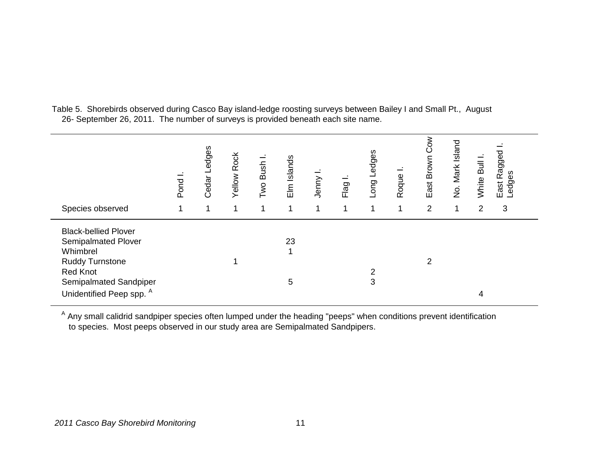Table 5. Shorebirds observed during Casco Bay island-ledge roosting surveys between Bailey I and Small Pt., August 26- September 26, 2011. The number of surveys is provided beneath each site name.

| Species observed                                                                                                                                                             | Pond | Cedar Ledges | <b>Yellow Rock</b><br>1 | Two Bush | Elm Islands | Jenny | Flag1 | Long Ledges<br>1 | Roque<br>1 | Cow<br>East Brown<br>$\overline{2}$ | No. Mark Island | White Bull<br>$\overline{2}$ | East Ragged<br>Ledges<br>edges<br>3 |  |
|------------------------------------------------------------------------------------------------------------------------------------------------------------------------------|------|--------------|-------------------------|----------|-------------|-------|-------|------------------|------------|-------------------------------------|-----------------|------------------------------|-------------------------------------|--|
| <b>Black-bellied Plover</b><br>Semipalmated Plover<br>Whimbrel<br><b>Ruddy Turnstone</b><br><b>Red Knot</b><br>Semipalmated Sandpiper<br>Unidentified Peep spp. <sup>A</sup> |      |              |                         |          | 23<br>5     |       |       | 3                |            | 2                                   |                 | 4                            |                                     |  |

<sup>A</sup> Any small calidrid sandpiper species often lumped under the heading "peeps" when conditions prevent identification to species. Most peeps observed in our study area are Semipalmated Sandpipers.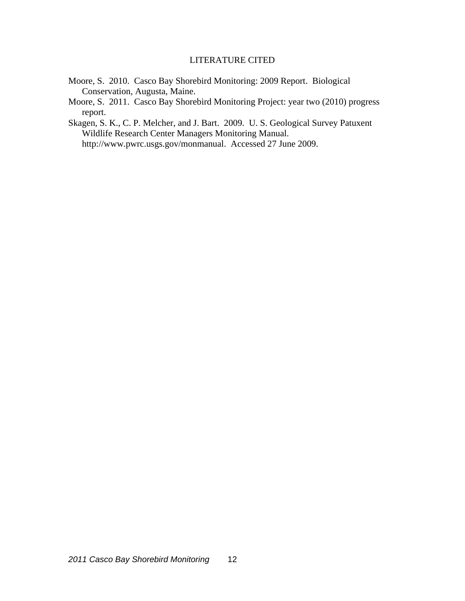# LITERATURE CITED

- Moore, S. 2010. Casco Bay Shorebird Monitoring: 2009 Report. Biological Conservation, Augusta, Maine.
- Moore, S. 2011. Casco Bay Shorebird Monitoring Project: year two (2010) progress report.
- Skagen, S. K., C. P. Melcher, and J. Bart. 2009. U. S. Geological Survey Patuxent Wildlife Research Center Managers Monitoring Manual. http://www.pwrc.usgs.gov/monmanual. Accessed 27 June 2009.